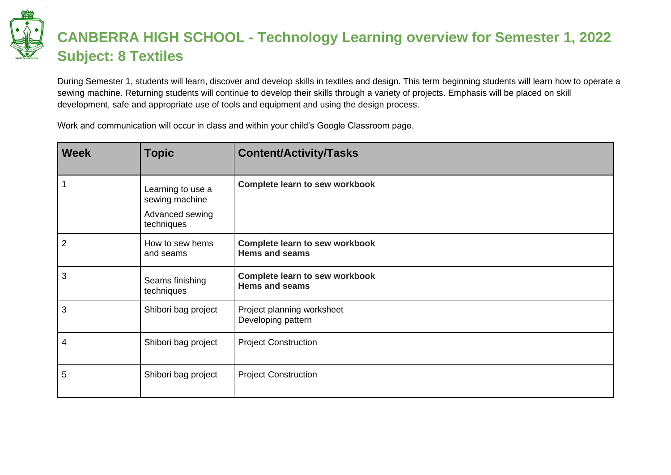## **CANBERRA HIGH SCHOOL - Technology Learning overview for Semester 1, 2022 Subject: 8 Textiles**

During Semester 1, students will learn, discover and develop skills in textiles and design. This term beginning students will learn how to operate a sewing machine. Returning students will continue to develop their skills through a variety of projects. Emphasis will be placed on skill development, safe and appropriate use of tools and equipment and using the design process.

Work and communication will occur in class and within your child's Google Classroom page.

| <b>Week</b>  | <b>Topic</b>                                                         | <b>Content/Activity/Tasks</b>                                  |
|--------------|----------------------------------------------------------------------|----------------------------------------------------------------|
| $\mathbf{1}$ | Learning to use a<br>sewing machine<br>Advanced sewing<br>techniques | <b>Complete learn to sew workbook</b>                          |
| 2            | How to sew hems<br>and seams                                         | <b>Complete learn to sew workbook</b><br><b>Hems and seams</b> |
| $\mathbf{3}$ | Seams finishing<br>techniques                                        | <b>Complete learn to sew workbook</b><br><b>Hems and seams</b> |
| 3            | Shibori bag project                                                  | Project planning worksheet<br>Developing pattern               |
| 4            | Shibori bag project                                                  | <b>Project Construction</b>                                    |
| 5            | Shibori bag project                                                  | <b>Project Construction</b>                                    |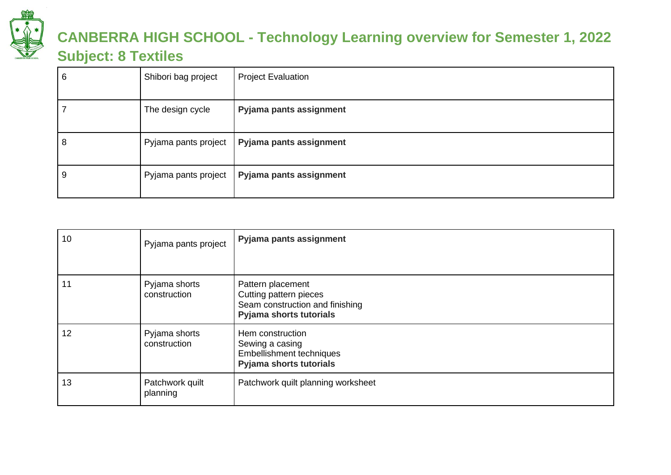

## **CANBERRA HIGH SCHOOL - Technology Learning overview for Semester 1, 2022 Subject: 8 Textiles**

| 6 | Shibori bag project | <b>Project Evaluation</b>                      |
|---|---------------------|------------------------------------------------|
|   | The design cycle    | Pyjama pants assignment                        |
| 8 |                     | Pyjama pants project   Pyjama pants assignment |
| У |                     | Pyjama pants project   Pyjama pants assignment |

| 10 | Pyjama pants project          | Pyjama pants assignment                                                                                   |
|----|-------------------------------|-----------------------------------------------------------------------------------------------------------|
| 11 | Pyjama shorts<br>construction | Pattern placement<br>Cutting pattern pieces<br>Seam construction and finishing<br>Pyjama shorts tutorials |
| 12 | Pyjama shorts<br>construction | Hem construction<br>Sewing a casing<br>Embellishment techniques<br><b>Pyjama shorts tutorials</b>         |
| 13 | Patchwork quilt<br>planning   | Patchwork quilt planning worksheet                                                                        |